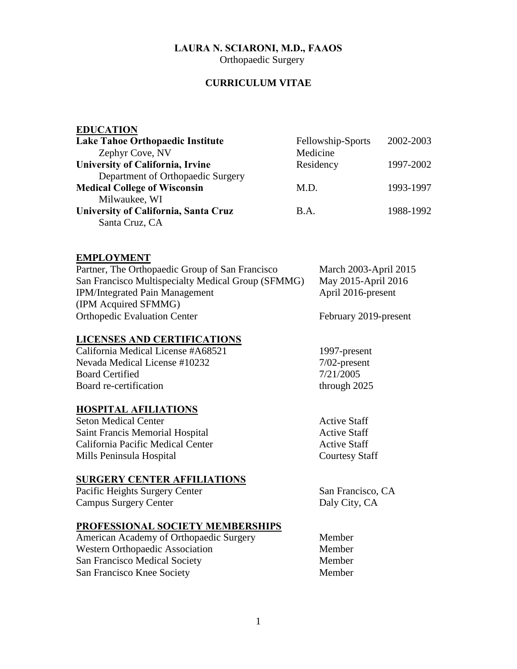# **LAURA N. SCIARONI, M.D., FAAOS**

**Orthopaedic Surgery** 

## **CURRICULUM VITAE**

| <b>EDUCATION</b>                        |                   |           |
|-----------------------------------------|-------------------|-----------|
| <b>Lake Tahoe Orthopaedic Institute</b> | Fellowship-Sports | 2002-2003 |
| Zephyr Cove, NV                         | Medicine          |           |
| <b>University of California, Irvine</b> | Residency         | 1997-2002 |
| Department of Orthopaedic Surgery       |                   |           |
| <b>Medical College of Wisconsin</b>     | M.D.              | 1993-1997 |
| Milwaukee, WI                           |                   |           |
| University of California, Santa Cruz    | B.A.              | 1988-1992 |
| Santa Cruz, CA                          |                   |           |

## **EMPLOYMENT**

| Partner, The Orthopaedic Group of San Francisco    | March 2003-April 2015 |
|----------------------------------------------------|-----------------------|
| San Francisco Multispecialty Medical Group (SFMMG) | May 2015-April 2016   |
| <b>IPM/Integrated Pain Management</b>              | April 2016-present    |
| (IPM Acquired SFMMG)                               |                       |
| <b>Orthopedic Evaluation Center</b>                | February 2019-present |

#### **LICENSES AND CERTIFICATIONS**

California Medical License #A68521 1997-present Nevada Medical License #10232 7/02-present Board Certified 7/21/2005<br>Board re-certification through 2025 Board re-certification

# **HOSPITAL AFILIATIONS**

| Seton Medical Center              | <b>Active Staff</b>   |
|-----------------------------------|-----------------------|
| Saint Francis Memorial Hospital   | <b>Active Staff</b>   |
| California Pacific Medical Center | <b>Active Staff</b>   |
| Mills Peninsula Hospital          | <b>Courtesy Staff</b> |

# **SURGERY CENTER AFFILIATIONS**

Pacific Heights Surgery Center San Francisco, CA Campus Surgery Center Daly City, CA

# **PROFESSIONAL SOCIETY MEMBERSHIPS**

| American Academy of Orthopaedic Surgery | Member |  |
|-----------------------------------------|--------|--|
| <b>Western Orthopaedic Association</b>  | Member |  |
| <b>San Francisco Medical Society</b>    | Member |  |
| San Francisco Knee Society              | Member |  |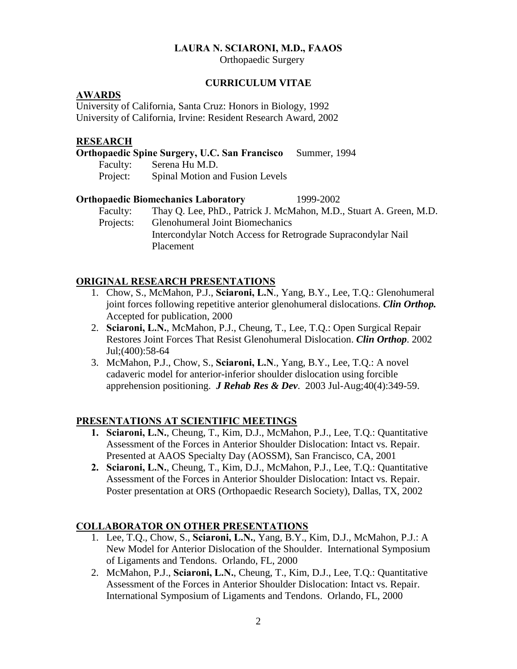### **LAURA N. SCIARONI, M.D., FAAOS**

Orthopaedic Surgery

#### **CURRICULUM VITAE**

#### **AWARDS**

University of California, Santa Cruz: Honors in Biology, 1992 University of California, Irvine: Resident Research Award, 2002

#### **RESEARCH**

|          | <b>Orthopaedic Spine Surgery, U.C. San Francisco</b> | Summer, 1994 |  |
|----------|------------------------------------------------------|--------------|--|
| Faculty: | Serena Hu M.D.                                       |              |  |
| Project: | Spinal Motion and Fusion Levels                      |              |  |

#### **Orthopaedic Biomechanics Laboratory** 1999-2002

Faculty: Thay Q. Lee, PhD., Patrick J. McMahon, M.D., Stuart A. Green, M.D. Projects: Glenohumeral Joint Biomechanics Intercondylar Notch Access for Retrograde Supracondylar Nail Placement

# **ORIGINAL RESEARCH PRESENTATIONS**

- 1. Chow, S., McMahon, P.J., **Sciaroni, L.N**., Yang, B.Y., Lee, T.Q.: Glenohumeral joint forces following repetitive anterior glenohumeral dislocations. *Clin Orthop.* Accepted for publication, 2000
- 2. **Sciaroni, L.N.**, McMahon, P.J., Cheung, T., Lee, T.Q.: Open Surgical Repair Restores Joint Forces That Resist Glenohumeral Dislocation. *Clin Orthop*. 2002 Jul;(400):58-64
- 3. McMahon, P.J., Chow, S., **Sciaroni, L.N**., Yang, B.Y., Lee, T.Q.: A novel cadaveric model for anterior-inferior shoulder dislocation using forcible apprehension positioning. *J Rehab Res & Dev*. 2003 Jul-Aug;40(4):349-59.

## **PRESENTATIONS AT SCIENTIFIC MEETINGS**

- **1. Sciaroni, L.N.**, Cheung, T., Kim, D.J., McMahon, P.J., Lee, T.Q.: Quantitative Assessment of the Forces in Anterior Shoulder Dislocation: Intact vs. Repair. Presented at AAOS Specialty Day (AOSSM), San Francisco, CA, 2001
- **2. Sciaroni, L.N.**, Cheung, T., Kim, D.J., McMahon, P.J., Lee, T.Q.: Quantitative Assessment of the Forces in Anterior Shoulder Dislocation: Intact vs. Repair. Poster presentation at ORS (Orthopaedic Research Society), Dallas, TX, 2002

#### **COLLABORATOR ON OTHER PRESENTATIONS**

- 1. Lee, T.Q., Chow, S., **Sciaroni, L.N.**, Yang, B.Y., Kim, D.J., McMahon, P.J.: A New Model for Anterior Dislocation of the Shoulder. International Symposium of Ligaments and Tendons. Orlando, FL, 2000
- 2. McMahon, P.J., **Sciaroni, L.N.**, Cheung, T., Kim, D.J., Lee, T.Q.: Quantitative Assessment of the Forces in Anterior Shoulder Dislocation: Intact vs. Repair. International Symposium of Ligaments and Tendons. Orlando, FL, 2000